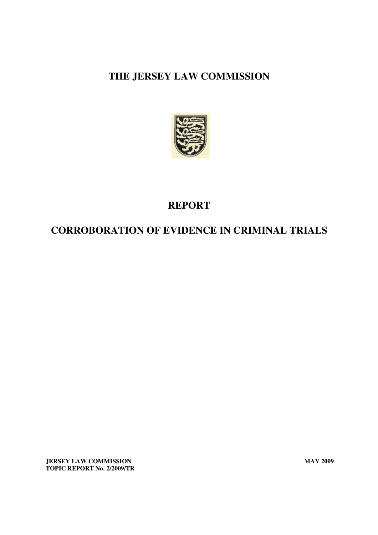

# **REPORT**

# **CORROBORATION OF EVIDENCE IN CRIMINAL TRIALS**

**JERSEY LAW COMMISSION** MAY 2009 **TOPIC REPORT No. 2/2009/TR**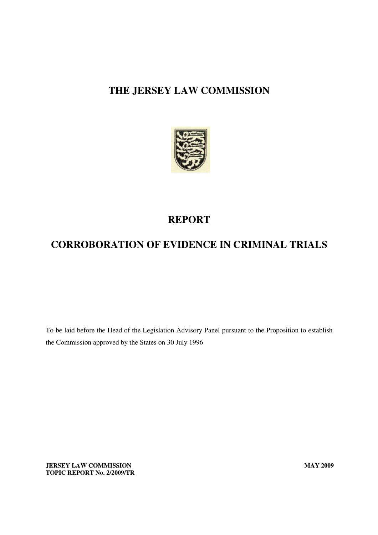

# **REPORT**

# **CORROBORATION OF EVIDENCE IN CRIMINAL TRIALS**

To be laid before the Head of the Legislation Advisory Panel pursuant to the Proposition to establish the Commission approved by the States on 30 July 1996

**JERSEY LAW COMMISSION MAY 2009 TOPIC REPORT No. 2/2009/TR**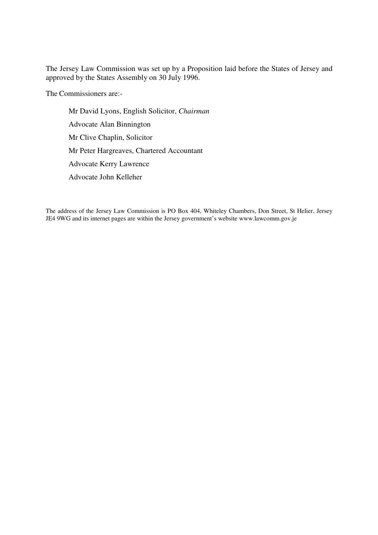The Jersey Law Commission was set up by a Proposition laid before the States of Jersey and approved by the States Assembly on 30 July 1996.

The Commissioners are:-

Mr David Lyons, English Solicitor, *Chairman* Advocate Alan Binnington Mr Clive Chaplin, Solicitor Mr Peter Hargreaves, Chartered Accountant Advocate Kerry Lawrence Advocate John Kelleher

The address of the Jersey Law Commission is PO Box 404, Whiteley Chambers, Don Street, St Helier, Jersey JE4 9WG and its internet pages are within the Jersey government's website www.lawcomm.gov.je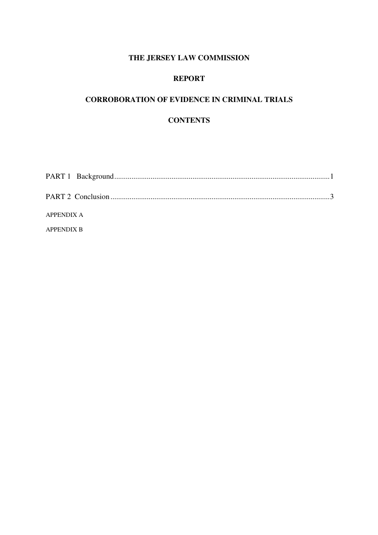### **REPORT**

### **CORROBORATION OF EVIDENCE IN CRIMINAL TRIALS**

### **CONTENTS**

| APPENDIX A        |  |
|-------------------|--|
| <b>APPENDIX B</b> |  |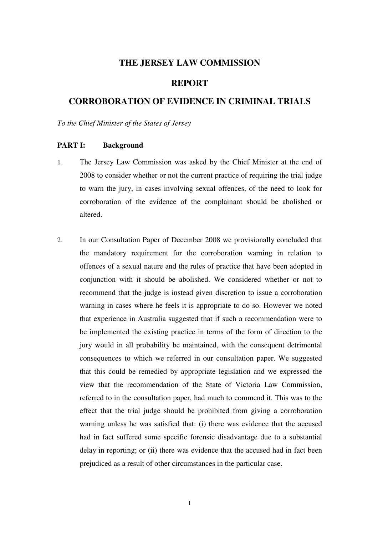### **REPORT**

## **CORROBORATION OF EVIDENCE IN CRIMINAL TRIALS**

*To the Chief Minister of the States of Jersey* 

#### **PART I: Background**

- 1. The Jersey Law Commission was asked by the Chief Minister at the end of 2008 to consider whether or not the current practice of requiring the trial judge to warn the jury, in cases involving sexual offences, of the need to look for corroboration of the evidence of the complainant should be abolished or altered.
- 2. In our Consultation Paper of December 2008 we provisionally concluded that the mandatory requirement for the corroboration warning in relation to offences of a sexual nature and the rules of practice that have been adopted in conjunction with it should be abolished. We considered whether or not to recommend that the judge is instead given discretion to issue a corroboration warning in cases where he feels it is appropriate to do so. However we noted that experience in Australia suggested that if such a recommendation were to be implemented the existing practice in terms of the form of direction to the jury would in all probability be maintained, with the consequent detrimental consequences to which we referred in our consultation paper. We suggested that this could be remedied by appropriate legislation and we expressed the view that the recommendation of the State of Victoria Law Commission, referred to in the consultation paper, had much to commend it. This was to the effect that the trial judge should be prohibited from giving a corroboration warning unless he was satisfied that: (i) there was evidence that the accused had in fact suffered some specific forensic disadvantage due to a substantial delay in reporting; or (ii) there was evidence that the accused had in fact been prejudiced as a result of other circumstances in the particular case.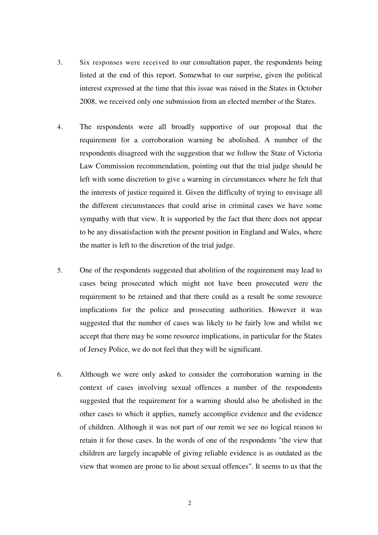- 3. Six responses were received to our consultation paper, the respondents being listed at the end of this report. Somewhat to our surprise, given the political interest expressed at the time that this issue was raised in the States in October 2008, we received only one submission from an elected member of the States.
- 4. The respondents were all broadly supportive of our proposal that the requirement for a corroboration warning be abolished. A number of the respondents disagreed with the suggestion that we follow the State of Victoria Law Commission recommendation, pointing out that the trial judge should be left with some discretion to give a warning in circumstances where he felt that the interests of justice required it. Given the difficulty of trying to envisage all the different circumstances that could arise in criminal cases we have some sympathy with that view. It is supported by the fact that there does not appear to be any dissatisfaction with the present position in England and Wales, where the matter is left to the discretion of the trial judge.
- 5. One of the respondents suggested that abolition of the requirement may lead to cases being prosecuted which might not have been prosecuted were the requirement to be retained and that there could as a result be some resource implications for the police and prosecuting authorities. However it was suggested that the number of cases was likely to be fairly low and whilst we accept that there may be some resource implications, in particular for the States of Jersey Police, we do not feel that they will be significant.
- 6. Although we were only asked to consider the corroboration warning in the context of cases involving sexual offences a number of the respondents suggested that the requirement for a warning should also be abolished in the other cases to which it applies, namely accomplice evidence and the evidence of children. Although it was not part of our remit we see no logical reason to retain it for those cases. In the words of one of the respondents "the view that children are largely incapable of giving reliable evidence is as outdated as the view that women are prone to lie about sexual offences". It seems to us that the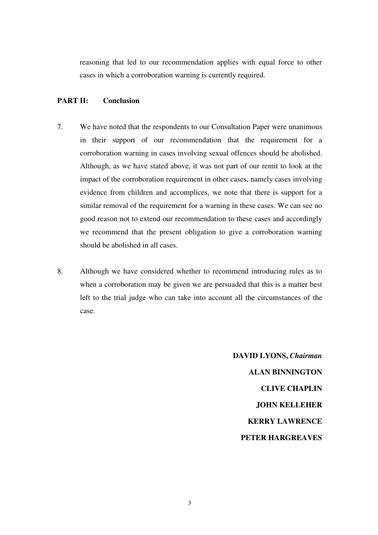reasoning that led to our recommendation applies with equal force to other cases in which a corroboration warning is currently required.

#### **PART II: Conclusion**

- 7. We have noted that the respondents to our Consultation Paper were unanimous in their support of our recommendation that the requirement for a corroboration warning in cases involving sexual offences should be abolished. Although, as we have stated above, it was not part of our remit to look at the impact of the corroboration requirement in other cases, namely cases involving evidence from children and accomplices, we note that there is support for a similar removal of the requirement for a warning in these cases. We can see no good reason not to extend our recommendation to these cases and accordingly we recommend that the present obligation to give a corroboration warning should be abolished in all cases.
- 8. Although we have considered whether to recommend introducing rules as to when a corroboration may be given we are persuaded that this is a matter best left to the trial judge who can take into account all the circumstances of the case.

**DAVID LYONS,** *Chairman* **ALAN BINNINGTON CLIVE CHAPLIN JOHN KELLEHER KERRY LAWRENCE PETER HARGREAVES**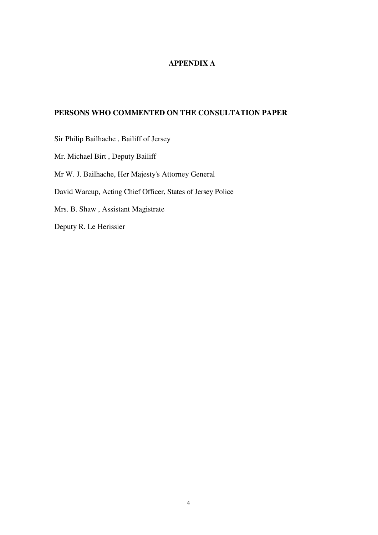### **APPENDIX A**

### **PERSONS WHO COMMENTED ON THE CONSULTATION PAPER**

Sir Philip Bailhache , Bailiff of Jersey Mr. Michael Birt , Deputy Bailiff Mr W. J. Bailhache, Her Majesty's Attorney General David Warcup, Acting Chief Officer, States of Jersey Police Mrs. B. Shaw , Assistant Magistrate Deputy R. Le Herissier